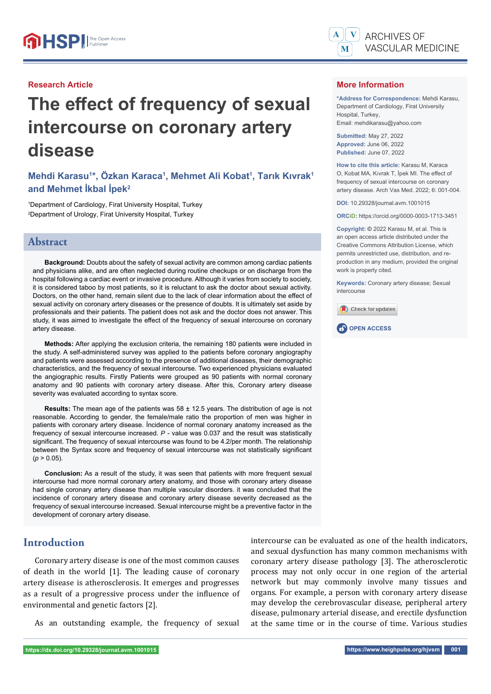#### **Research Article**

# **The effect of frequency of sexual intercourse on coronary artery disease**

## **Mehdi Karasu1 \*, Özkan Karaca1 , Mehmet Ali Kobat1 , Tarık Kıvrak1 and Mehmet İkbal İpek2**

1 Department of Cardiology, Firat University Hospital, Turkey 2 Department of Urology, Firat University Hospital, Turkey

## **Abstract**

**Background:** Doubts about the safety of sexual activity are common among cardiac patients and physicians alike, and are often neglected during routine checkups or on discharge from the hospital following a cardiac event or invasive procedure. Although it varies from society to society, it is considered taboo by most patients, so it is reluctant to ask the doctor about sexual activity. Doctors, on the other hand, remain silent due to the lack of clear information about the effect of sexual activity on coronary artery diseases or the presence of doubts. It is ultimately set aside by professionals and their patients. The patient does not ask and the doctor does not answer. This study, it was aimed to investigate the effect of the frequency of sexual intercourse on coronary artery disease.

**Methods:** After applying the exclusion criteria, the remaining 180 patients were included in the study. A self-administered survey was applied to the patients before coronary angiography and patients were assessed according to the presence of additional diseases, their demographic characteristics, and the frequency of sexual intercourse. Two experienced physicians evaluated the angiographic results. Firstly Patients were grouped as 90 patients with normal coronary anatomy and 90 patients with coronary artery disease. After this, Coronary artery disease severity was evaluated according to syntax score.

**Results:** The mean age of the patients was 58 ± 12.5 years. The distribution of age is not reasonable. According to gender, the female/male ratio the proportion of men was higher in patients with coronary artery disease. İncidence of normal coronary anatomy increased as the frequency of sexual intercourse increased. *P* - value was 0.037 and the result was statistically significant. The frequency of sexual intercourse was found to be 4.2/per month. The relationship between the Syntax score and frequency of sexual intercourse was not statistically significant  $(p > 0.05)$ .

**Conclusion:** As a result of the study, it was seen that patients with more frequent sexual intercourse had more normal coronary artery anatomy, and those with coronary artery disease had single coronary artery disease than multiple vascular disorders. it was concluded that the incidence of coronary artery disease and coronary artery disease severity decreased as the frequency of sexual intercourse increased. Sexual intercourse might be a preventive factor in the development of coronary artery disease.

## **Introduction**

Coronary artery disease is one of the most common causes of death in the world [1]. The leading cause of coronary artery disease is atherosclerosis. It emerges and progresses as a result of a progressive process under the influence of environmental and genetic factors [2].

As an outstanding example, the frequency of sexual



ARCHIVES OF

Department of Cardiology, Firat University Hospital, Turkey, Email: mehdikarasu@yahoo.com

**Submitted:** May 27, 2022 **Approved:** June 06, 2022 **Published:** June 07, 2022

**A**

**V**

**How to cite this article:** Karasu M, Karaca O, Kobat MA, Kıvrak T, İpek MI. The effect of frequency of sexual intercourse on coronary artery disease. Arch Vas Med. 2022; 6: 001-004.

**DOI:** 10.29328/journal.avm.1001015

**ORCiD:** https://orcid.org/0000-0003-1713-3451

**Copyright: ©** 2022 Karasu M, et al. This is an open access article distributed under the Creative Commons Attribution License, which permits unrestricted use, distribution, and reproduction in any medium, provided the original work is properly cited.

**Keywords:** Coronary artery disease; Sexual intercourse





intercourse can be evaluated as one of the health indicators, and sexual dysfunction has many common mechanisms with coronary artery disease pathology [3]. The atherosclerotic process may not only occur in one region of the arterial network but may commonly involve many tissues and organs. For example, a person with coronary artery disease may develop the cerebrovascular disease, peripheral artery disease, pulmonary arterial disease, and erectile dysfunction at the same time or in the course of time. Various studies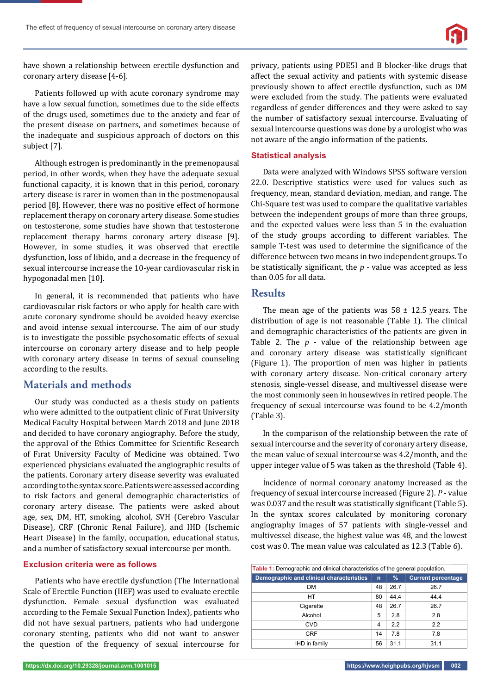

have shown a relationship between erectile dysfunction and coronary artery disease [4-6].

Patients followed up with acute coronary syndrome may have a low sexual function, sometimes due to the side effects of the drugs used, sometimes due to the anxiety and fear of the present disease on partners, and sometimes because of the inadequate and suspicious approach of doctors on this subject [7].

Although estrogen is predominantly in the premenopausal period, in other words, when they have the adequate sexual functional capacity, it is known that in this period, coronary artery disease is rarer in women than in the postmenopausal period [8]. However, there was no positive effect of hormone replacement therapy on coronary artery disease. Some studies on testosterone, some studies have shown that testosterone replacement therapy harms coronary artery disease [9]. However, in some studies, it was observed that erectile dysfunction, loss of libido, and a decrease in the frequency of sexual intercourse increase the 10-year cardiovascular risk in hypogonadal men [10].

In general, it is recommended that patients who have cardiovascular risk factors or who apply for health care with acute coronary syndrome should be avoided heavy exercise and avoid intense sexual intercourse. The aim of our study is to investigate the possible psychosomatic effects of sexual intercourse on coronary artery disease and to help people with coronary artery disease in terms of sexual counseling according to the results.

## **Materials and methods**

Our study was conducted as a thesis study on patients who were admitted to the outpatient clinic of Fırat University Medical Faculty Hospital between March 2018 and June 2018 and decided to have coronary angiography. Before the study, the approval of the Ethics Committee for Scientific Research of Fırat University Faculty of Medicine was obtained. Two experienced physicians evaluated the angiographic results of the patients. Coronary artery disease severity was evaluated according to the syntax score. Patients were assessed according to risk factors and general demographic characteristics of coronary artery disease. The patients were asked about age, sex, DM, HT, smoking, alcohol, SVH (Cerebro Vascular Disease), CRF (Chronic Renal Failure), and IHD (Ischemic Heart Disease) in the family, occupation, educational status, and a number of satisfactory sexual intercourse per month.

#### **Exclusion criteria were as follows**

Patients who have erectile dysfunction (The International Scale of Erectile Function (IIEF) was used to evaluate erectile dysfunction. Female sexual dysfunction was evaluated according to the Female Sexual Function Index), patients who did not have sexual partners, patients who had undergone coronary stenting, patients who did not want to answer the question of the frequency of sexual intercourse for

privacy, patients using PDE5I and B blocker-like drugs that affect the sexual activity and patients with systemic disease previously shown to affect erectile dysfunction, such as DM were excluded from the study. The patients were evaluated regardless of gender differences and they were asked to say the number of satisfactory sexual intercourse. Evaluating of sexual intercourse questions was done by a urologist who was not aware of the angio information of the patients.

#### **Statistical analysis**

Data were analyzed with Windows SPSS software version 22.0. Descriptive statistics were used for values such as frequency, mean, standard deviation, median, and range. The Chi-Square test was used to compare the qualitative variables between the independent groups of more than three groups, and the expected values were less than 5 in the evaluation of the study groups according to different variables. The sample T-test was used to determine the significance of the difference between two means in two independent groups. To be statistically significant, the  $p$  - value was accepted as less than 0.05 for all data.

### **Results**

The mean age of the patients was  $58 \pm 12.5$  years. The distribution of age is not reasonable (Table 1). The clinical and demographic characteristics of the patients are given in Table 2. The *p* - value of the relationship between age and coronary artery disease was statistically significant (Figure 1). The proportion of men was higher in patients with coronary artery disease. Non-critical coronary artery stenosis, single-vessel disease, and multivessel disease were the most commonly seen in housewives in retired people. The frequency of sexual intercourse was found to be 4.2/month (Table 3).

In the comparison of the relationship between the rate of sexual intercourse and the severity of coronary artery disease, the mean value of sexual intercourse was 4.2/month, and the upper integer value of 5 was taken as the threshold (Table 4).

İncidence of normal coronary anatomy increased as the frequency of sexual intercourse increased (Figure 2). *P* - value was  $0.037$  and the result was statistically significant (Table 5). In the syntax scores calculated by monitoring coronary angiography images of 57 patients with single-vessel and multivessel disease, the highest value was 48, and the lowest cost was 0. The mean value was calculated as 12.3 (Table 6).

| <b>Table 1:</b> Demographic and clinical characteristics of the general population. |                |      |                           |  |  |
|-------------------------------------------------------------------------------------|----------------|------|---------------------------|--|--|
| Demographic and clinical characteristics                                            | $\mathsf{n}$   | $\%$ | <b>Current percentage</b> |  |  |
| <b>DM</b>                                                                           | 48             | 26.7 | 26.7                      |  |  |
| HT                                                                                  | 80             | 44.4 | 44.4                      |  |  |
| Cigarette                                                                           | 48             | 26.7 | 26.7                      |  |  |
| Alcohol                                                                             | 5              | 2.8  | 2.8                       |  |  |
| <b>CVD</b>                                                                          | $\overline{4}$ | 2.2  | 2.2                       |  |  |
| <b>CRF</b>                                                                          | 14             | 7.8  | 7.8                       |  |  |
| IHD in family                                                                       | 56             | 31.1 | 31.1                      |  |  |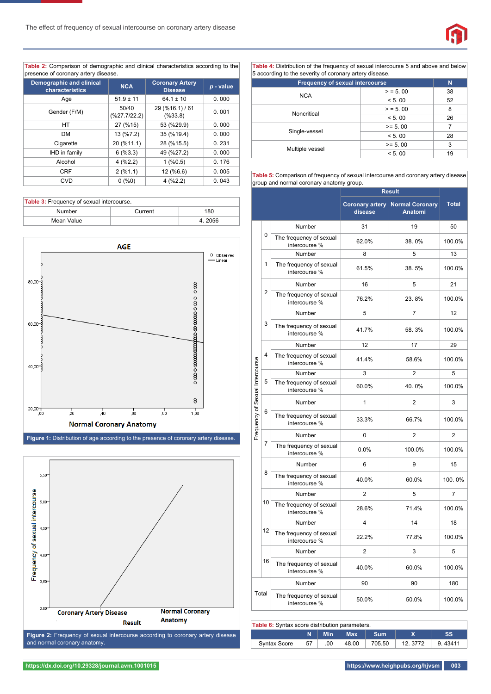

**Table 2:** Comparison of demographic and clinical characteristics according to the presence of coronary artery disease.

| <b>Demographic and clinical</b><br>characteristics | <b>Coronary Artery</b><br><b>NCA</b><br><b>Disease</b> |                            | $p$ - value |
|----------------------------------------------------|--------------------------------------------------------|----------------------------|-------------|
| Age                                                | $51.9 \pm 11$                                          | $64.1 \pm 10$              | 0.000       |
| Gender (F/M)                                       | 50/40<br>(%27.7/22.2)                                  | 29 (%16.1) / 61<br>(%33.8) | 0.001       |
| <b>HT</b>                                          | 27 (%15)                                               | 53 (%29.9)                 | 0.000       |
| <b>DM</b>                                          | 13 (%7.2)                                              | 35 (%19.4)                 | 0.000       |
| Cigarette                                          | 20 (%11.1)                                             | 28 (%15.5)                 | 0.231       |
| IHD in family                                      | 6(%3.3)                                                | 49 (%27.2)                 | 0.000       |
| Alcohol                                            | 4(%2.2)                                                | $1($ %0.5)                 | 0.176       |
| <b>CRF</b>                                         | 2(%1.1)                                                | 12 (%6.6)                  | 0.005       |
| <b>CVD</b>                                         | 0(%0)                                                  | 4(%2.2)                    | 0.043       |

| Table 3: Frequency of sexual intercourse. |         |        |  |  |
|-------------------------------------------|---------|--------|--|--|
| Number                                    | Current | 180    |  |  |
| Mean Value                                |         | 4.2056 |  |  |



**Figure 1:** Distribution of age according to the presence of coronary artery disease.



**Table 4:** Distribution of the frequency of sexual intercourse 5 and above and below 5 according to the severity of coronary artery disease.

| <b>Frequency of sexual intercourse</b> | N           |    |
|----------------------------------------|-------------|----|
| <b>NCA</b>                             | $>$ = 5, 00 | 38 |
|                                        | < 5.00      | 52 |
| Noncritical                            | $>$ = 5, 00 | 8  |
|                                        | < 5.00      | 26 |
|                                        | $>= 5.00$   |    |
| Single-vessel                          | < 5.00      | 28 |
|                                        | $>= 5.00$   | 3  |
| Multiple vessel                        | < 5.00      | 19 |

**Table 5:** Comparison of frequency of sexual intercourse and coronary artery disease group and normal coronary anatomy group.

|                                 |    |                                          | <b>Result</b>              |                                   |                |
|---------------------------------|----|------------------------------------------|----------------------------|-----------------------------------|----------------|
|                                 |    |                                          | Coronary artery<br>disease | <b>Normal Coronary</b><br>Anatomi | <b>Total</b>   |
|                                 | 0  | Number                                   | 31                         | 19                                | 50             |
| Frequency of Sexual Intercourse |    | The frequency of sexual<br>intercourse % | 62.0%                      | 38.0%                             | 100.0%         |
|                                 | 1  | Number                                   | 8                          | 5                                 | 13             |
|                                 |    | The frequency of sexual<br>intercourse % | 61.5%                      | 38.5%                             | 100.0%         |
|                                 | 2  | Number                                   | 16                         | 5                                 | 21             |
|                                 |    | The frequency of sexual<br>intercourse % | 76.2%                      | 23.8%                             | 100.0%         |
|                                 |    | Number                                   | 5                          | 7                                 | 12             |
|                                 | 3  | The frequency of sexual<br>intercourse % | 41.7%                      | 58.3%                             | 100.0%         |
|                                 | 4  | Number                                   | 12                         | 17                                | 29             |
|                                 |    | The frequency of sexual<br>intercourse % | 41.4%                      | 58.6%                             | 100.0%         |
|                                 | 5  | Number                                   | 3                          | $\overline{2}$                    | 5              |
|                                 |    | The frequency of sexual<br>intercourse % | 60.0%                      | 40.0%                             | 100.0%         |
|                                 | 6  | Number                                   | 1                          | $\overline{2}$                    | 3              |
|                                 |    | The frequency of sexual<br>intercourse % | 33.3%                      | 66.7%                             | 100.0%         |
|                                 |    | Number                                   | 0                          | $\overline{2}$                    | $\overline{2}$ |
|                                 | 7  | The frequency of sexual<br>intercourse % | 0.0%                       | 100.0%                            | 100.0%         |
|                                 |    | Number                                   | 6                          | 9                                 | 15             |
|                                 | 8  | The frequency of sexual<br>intercourse % | 40.0%                      | 60.0%                             | 100.0%         |
|                                 | 10 | Number                                   | $\overline{2}$             | 5                                 | 7              |
|                                 |    | The frequency of sexual<br>intercourse % | 28.6%                      | 71.4%                             | 100.0%         |
|                                 | 12 | Number                                   | 4                          | 14                                | 18             |
|                                 |    | The frequency of sexual<br>intercourse % | 22.2%                      | 77.8%                             | 100.0%         |
|                                 |    | Number                                   | $\overline{2}$             | 3                                 | 5              |
|                                 | 16 | The frequency of sexual<br>intercourse % | 40.0%                      | 60.0%                             | 100.0%         |
|                                 |    | Number                                   | 90                         | 90                                | 180            |
| Total                           |    | The frequency of sexual<br>intercourse % | 50.0%                      | 50.0%                             | 100.0%         |

| <b>Table 6:</b> Syntax score distribution parameters. |              |     |            |            |            |         |         |
|-------------------------------------------------------|--------------|-----|------------|------------|------------|---------|---------|
|                                                       |              |     | <b>Min</b> | <b>Max</b> | <b>Sum</b> |         | SS      |
|                                                       | Syntax Score | -57 | .00        | 48.00      | 705.50     | 12.3772 | 9.43411 |